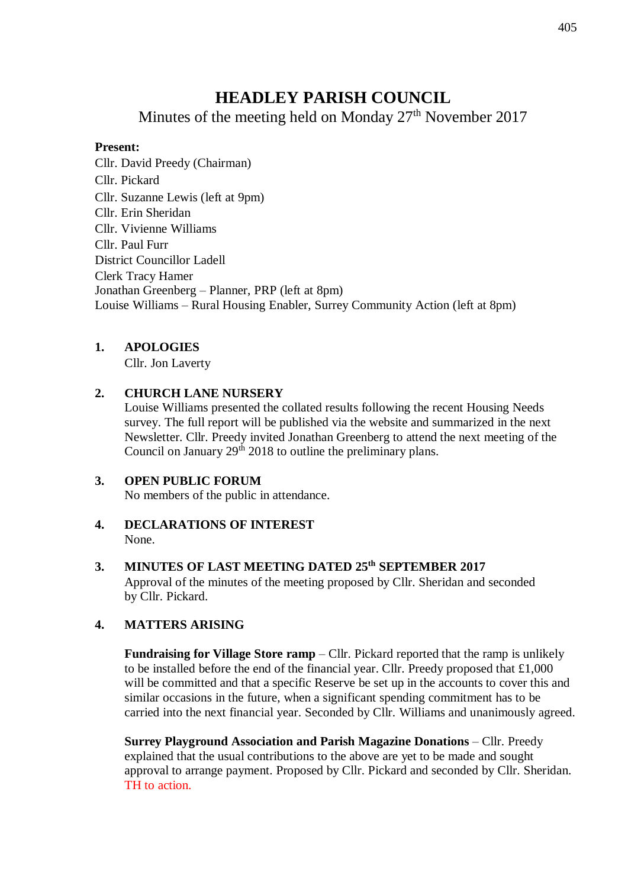# **HEADLEY PARISH COUNCIL**

Minutes of the meeting held on Monday 27<sup>th</sup> November 2017

# **Present:**

Cllr. David Preedy (Chairman) Cllr. Pickard Cllr. Suzanne Lewis (left at 9pm) Cllr. Erin Sheridan Cllr. Vivienne Williams Cllr. Paul Furr District Councillor Ladell Clerk Tracy Hamer Jonathan Greenberg – Planner, PRP (left at 8pm) Louise Williams – Rural Housing Enabler, Surrey Community Action (left at 8pm)

# **1. APOLOGIES**

Cllr. Jon Laverty

# **2. CHURCH LANE NURSERY**

Louise Williams presented the collated results following the recent Housing Needs survey. The full report will be published via the website and summarized in the next Newsletter. Cllr. Preedy invited Jonathan Greenberg to attend the next meeting of the Council on January 29<sup>th</sup> 2018 to outline the preliminary plans.

# **3. OPEN PUBLIC FORUM**

No members of the public in attendance.

**4. DECLARATIONS OF INTEREST** None.

# **3. MINUTES OF LAST MEETING DATED 25th SEPTEMBER 2017**

Approval of the minutes of the meeting proposed by Cllr. Sheridan and seconded by Cllr. Pickard.

# **4. MATTERS ARISING**

**Fundraising for Village Store ramp** – Cllr. Pickard reported that the ramp is unlikely to be installed before the end of the financial year. Cllr. Preedy proposed that £1,000 will be committed and that a specific Reserve be set up in the accounts to cover this and similar occasions in the future, when a significant spending commitment has to be carried into the next financial year. Seconded by Cllr. Williams and unanimously agreed.

**Surrey Playground Association and Parish Magazine Donations** – Cllr. Preedy explained that the usual contributions to the above are yet to be made and sought approval to arrange payment. Proposed by Cllr. Pickard and seconded by Cllr. Sheridan. TH to action.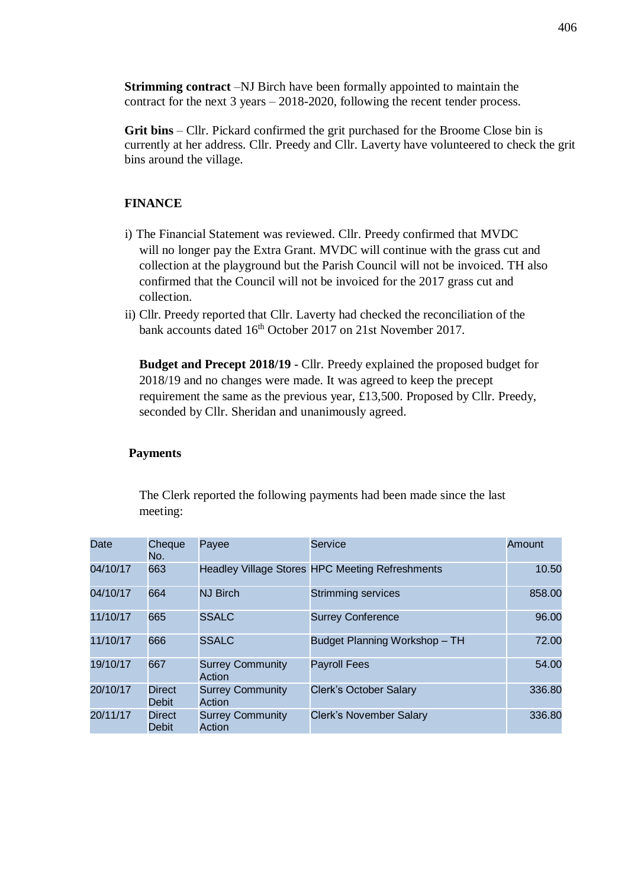**Strimming contract** –NJ Birch have been formally appointed to maintain the contract for the next 3 years – 2018-2020, following the recent tender process.

**Grit bins** – Cllr. Pickard confirmed the grit purchased for the Broome Close bin is currently at her address. Cllr. Preedy and Cllr. Laverty have volunteered to check the grit bins around the village.

## **FINANCE**

- i) The Financial Statement was reviewed. Cllr. Preedy confirmed that MVDC will no longer pay the Extra Grant. MVDC will continue with the grass cut and collection at the playground but the Parish Council will not be invoiced. TH also confirmed that the Council will not be invoiced for the 2017 grass cut and collection.
- ii) Cllr. Preedy reported that Cllr. Laverty had checked the reconciliation of the bank accounts dated 16<sup>th</sup> October 2017 on 21st November 2017.

**Budget and Precept 2018/19** - Cllr. Preedy explained the proposed budget for 2018/19 and no changes were made. It was agreed to keep the precept requirement the same as the previous year, £13,500. Proposed by Cllr. Preedy, seconded by Cllr. Sheridan and unanimously agreed.

### **Payments**

The Clerk reported the following payments had been made since the last meeting:

| Date     | Cheque<br>No.          | Payee                             | <b>Service</b>                                  | Amount |
|----------|------------------------|-----------------------------------|-------------------------------------------------|--------|
| 04/10/17 | 663                    |                                   | Headley Village Stores HPC Meeting Refreshments | 10.50  |
| 04/10/17 | 664                    | <b>NJ Birch</b>                   | <b>Strimming services</b>                       | 858.00 |
| 11/10/17 | 665                    | <b>SSALC</b>                      | <b>Surrey Conference</b>                        | 96.00  |
| 11/10/17 | 666                    | <b>SSALC</b>                      | Budget Planning Workshop - TH                   | 72.00  |
| 19/10/17 | 667                    | <b>Surrey Community</b><br>Action | <b>Payroll Fees</b>                             | 54.00  |
| 20/10/17 | <b>Direct</b><br>Debit | <b>Surrey Community</b><br>Action | <b>Clerk's October Salary</b>                   | 336.80 |
| 20/11/17 | <b>Direct</b><br>Debit | <b>Surrey Community</b><br>Action | <b>Clerk's November Salary</b>                  | 336.80 |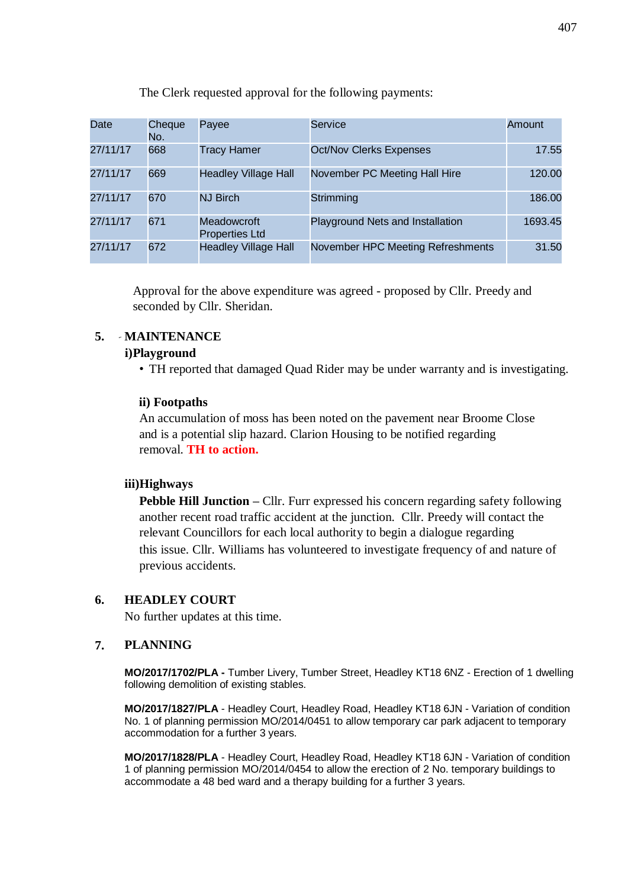| Date     | Cheque<br>No. | Payee                                | Service                           | Amount  |
|----------|---------------|--------------------------------------|-----------------------------------|---------|
| 27/11/17 | 668           | <b>Tracy Hamer</b>                   | <b>Oct/Nov Clerks Expenses</b>    | 17.55   |
| 27/11/17 | 669           | <b>Headley Village Hall</b>          | November PC Meeting Hall Hire     | 120.00  |
| 27/11/17 | 670           | <b>NJ Birch</b>                      | Strimming                         | 186.00  |
| 27/11/17 | 671           | Meadowcroft<br><b>Properties Ltd</b> | Playground Nets and Installation  | 1693.45 |
| 27/11/17 | 672           | <b>Headley Village Hall</b>          | November HPC Meeting Refreshments | 31.50   |

The Clerk requested approval for the following payments:

Approval for the above expenditure was agreed - proposed by Cllr. Preedy and seconded by Cllr. Sheridan.

## **5. MAINTENANCE**

#### **i)Playground**

• TH reported that damaged Quad Rider may be under warranty and is investigating.

#### **ii) Footpaths**

An accumulation of moss has been noted on the pavement near Broome Close and is a potential slip hazard. Clarion Housing to be notified regarding removal. **TH to action.**

#### **iii)Highways**

**Pebble Hill Junction –** Cllr. Furr expressed his concern regarding safety following another recent road traffic accident at the junction. Cllr. Preedy will contact the relevant Councillors for each local authority to begin a dialogue regarding this issue. Cllr. Williams has volunteered to investigate frequency of and nature of previous accidents.

### **6. HEADLEY COURT**

No further updates at this time.

#### **7. PLANNING**

**MO/2017/1702/PLA -** Tumber Livery, Tumber Street, Headley KT18 6NZ - Erection of 1 dwelling following demolition of existing stables.

**MO/2017/1827/PLA** - Headley Court, Headley Road, Headley KT18 6JN - Variation of condition No. 1 of planning permission MO/2014/0451 to allow temporary car park adjacent to temporary accommodation for a further 3 years.

**MO/2017/1828/PLA** - Headley Court, Headley Road, Headley KT18 6JN - Variation of condition 1 of planning permission MO/2014/0454 to allow the erection of 2 No. temporary buildings to accommodate a 48 bed ward and a therapy building for a further 3 years.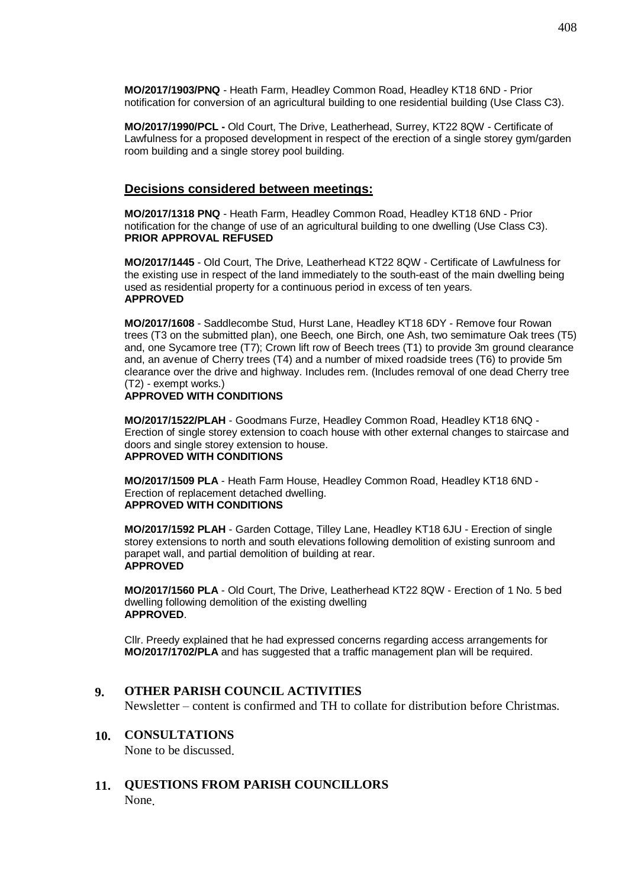**MO/2017/1903/PNQ** - Heath Farm, Headley Common Road, Headley KT18 6ND - Prior notification for conversion of an agricultural building to one residential building (Use Class C3).

**MO/2017/1990/PCL -** Old Court, The Drive, Leatherhead, Surrey, KT22 8QW - Certificate of Lawfulness for a proposed development in respect of the erection of a single storey gym/garden room building and a single storey pool building.

#### **Decisions considered between meetings:**

**MO/2017/1318 PNQ** - Heath Farm, Headley Common Road, Headley KT18 6ND - Prior notification for the change of use of an agricultural building to one dwelling (Use Class C3). **PRIOR APPROVAL REFUSED**

**MO/2017/1445** - Old Court, The Drive, Leatherhead KT22 8QW - Certificate of Lawfulness for the existing use in respect of the land immediately to the south-east of the main dwelling being used as residential property for a continuous period in excess of ten years. **APPROVED**

**MO/2017/1608** - Saddlecombe Stud, Hurst Lane, Headley KT18 6DY - Remove four Rowan trees (T3 on the submitted plan), one Beech, one Birch, one Ash, two semimature Oak trees (T5) and, one Sycamore tree (T7); Crown lift row of Beech trees (T1) to provide 3m ground clearance and, an avenue of Cherry trees (T4) and a number of mixed roadside trees (T6) to provide 5m clearance over the drive and highway. Includes rem. (Includes removal of one dead Cherry tree (T2) - exempt works.)

#### **APPROVED WITH CONDITIONS**

**MO/2017/1522/PLAH** - Goodmans Furze, Headley Common Road, Headley KT18 6NQ - Erection of single storey extension to coach house with other external changes to staircase and doors and single storey extension to house. **APPROVED WITH CONDITIONS**

**MO/2017/1509 PLA** - Heath Farm House, Headley Common Road, Headley KT18 6ND - Erection of replacement detached dwelling. **APPROVED WITH CONDITIONS**

**MO/2017/1592 PLAH** - Garden Cottage, Tilley Lane, Headley KT18 6JU - Erection of single storey extensions to north and south elevations following demolition of existing sunroom and parapet wall, and partial demolition of building at rear. **APPROVED**

**MO/2017/1560 PLA** - Old Court, The Drive, Leatherhead KT22 8QW - Erection of 1 No. 5 bed dwelling following demolition of the existing dwelling **APPROVED**.

Cllr. Preedy explained that he had expressed concerns regarding access arrangements for **MO/2017/1702/PLA** and has suggested that a traffic management plan will be required.

#### **9. OTHER PARISH COUNCIL ACTIVITIES**

Newsletter – content is confirmed and TH to collate for distribution before Christmas.

### **10. CONSULTATIONS**

None to be discussed.

### **11. QUESTIONS FROM PARISH COUNCILLORS** None.